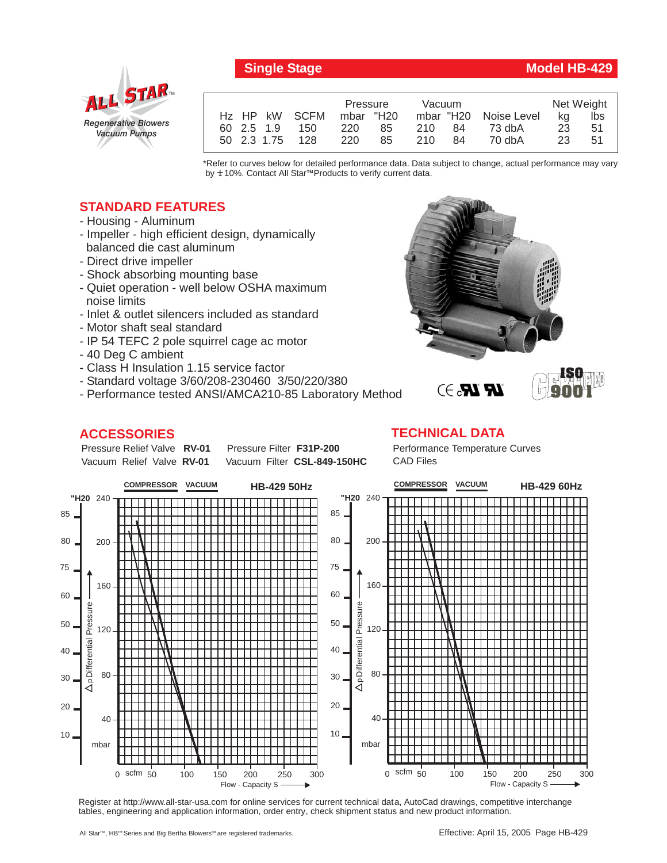

## **Single Stage Model HB-429**

**ISO 9001**

|  |             |               | Pressure  |     | Vacuum |     |                       | Net Weight |     |
|--|-------------|---------------|-----------|-----|--------|-----|-----------------------|------------|-----|
|  |             | Hz HP kW SCFM | mbar "H20 |     |        |     | mbar "H20 Noise Level | ka         | Ibs |
|  | 60 2.5 1.9  | 150           | 220       | 85  | 210 84 |     | 73 dbA                | 23         | 51  |
|  | 50 2.3 1.75 | - 128         | 220       | 85. | 210    | -84 | 70 dbA                | 23         | 51  |

\*Refer to curves below for detailed performance data. Data subject to change, actual performance may vary by **+** 10%. Contact All Star™Products to verify current data.

## **STANDARD FEATURES**

- Housing Aluminum
- Impeller high efficient design, dynamically balanced die cast aluminum
- Direct drive impeller
- Shock absorbing mounting base
- Quiet operation well below OSHA maximum noise limits
- Inlet & outlet silencers included as standard
- Motor shaft seal standard
- IP 54 TEFC 2 pole squirrel cage ac motor
- 40 Deg C ambient
- Class H Insulation 1.15 service factor
- Standard voltage 3/60/208-230460 3/50/220/380
- Performance tested ANSI/AMCA210-85 Laboratory Method

## **ACCESSORIES**

Pressure Relief Valve RV-01 Vacuum Relief Valve RV-01

**Pressure Filter F31P-200** Vacuum Filter CSL-849-150HC **TECHNICAL DATA** Performance Temperature Curves CAD Files

**LR LR.** 3



Register at http://www.all-star-usa.com for online services for current technical data, AutoCad drawings, competitive interchange tables, engineering and application information, order entry, check shipment status and new product information.